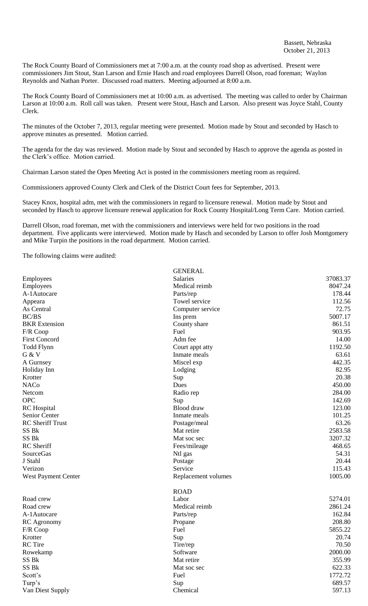The Rock County Board of Commissioners met at 7:00 a.m. at the county road shop as advertised. Present were commissioners Jim Stout, Stan Larson and Ernie Hasch and road employees Darrell Olson, road foreman; Waylon Reynolds and Nathan Porter. Discussed road matters. Meeting adjourned at 8:00 a.m.

The Rock County Board of Commissioners met at 10:00 a.m. as advertised. The meeting was called to order by Chairman Larson at 10:00 a.m. Roll call was taken. Present were Stout, Hasch and Larson. Also present was Joyce Stahl, County Clerk.

The minutes of the October 7, 2013, regular meeting were presented. Motion made by Stout and seconded by Hasch to approve minutes as presented. Motion carried.

The agenda for the day was reviewed. Motion made by Stout and seconded by Hasch to approve the agenda as posted in the Clerk's office. Motion carried.

Chairman Larson stated the Open Meeting Act is posted in the commissioners meeting room as required.

Commissioners approved County Clerk and Clerk of the District Court fees for September, 2013.

Stacey Knox, hospital adm, met with the commissioners in regard to licensure renewal. Motion made by Stout and seconded by Hasch to approve licensure renewal application for Rock County Hospital/Long Term Care. Motion carried.

Darrell Olson, road foreman, met with the commissioners and interviews were held for two positions in the road department. Five applicants were interviewed. Motion made by Hasch and seconded by Larson to offer Josh Montgomery and Mike Turpin the positions in the road department. Motion carried.

**GENED AT** 

The following claims were audited:

|                         | ULINLINAL           |          |
|-------------------------|---------------------|----------|
| Employees               | <b>Salaries</b>     | 37083.37 |
| Employees               | Medical reimb       | 8047.24  |
| A-1Autocare             | Parts/rep           | 178.44   |
| Appeara                 | Towel service       | 112.56   |
| As Central              | Computer service    | 72.75    |
| BC/BS                   | Ins prem            | 5007.17  |
| <b>BKR</b> Extension    | County share        | 861.51   |
| F/R Coop                | Fuel                | 903.95   |
| <b>First Concord</b>    | Adm fee             | 14.00    |
| Todd Flynn              | Court appt atty     | 1192.50  |
| G & V                   | Inmate meals        | 63.61    |
| A Gurnsey               | Miscel exp          | 442.35   |
| Holiday Inn             | Lodging             | 82.95    |
| Krotter                 | Sup                 | 20.38    |
| <b>NACo</b>             | Dues                | 450.00   |
| Netcom                  | Radio rep           | 284.00   |
| <b>OPC</b>              | Sup                 | 142.69   |
| <b>RC</b> Hospital      | Blood draw          | 123.00   |
| Senior Center           | Inmate meals        | 101.25   |
| <b>RC</b> Sheriff Trust | Postage/meal        | 63.26    |
| SS Bk                   | Mat retire          | 2583.58  |
| SS <sub>Bk</sub>        | Mat soc sec         | 3207.32  |
| RC Sheriff              | Fees/mileage        | 468.65   |
| SourceGas               | Ntl gas             | 54.31    |
| J Stahl                 | Postage             | 20.44    |
| Verizon                 | Service             | 115.43   |
| West Payment Center     | Replacement volumes | 1005.00  |
|                         | <b>ROAD</b>         |          |
| Road crew               | Labor               | 5274.01  |
| Road crew               | Medical reimb       | 2861.24  |
| A-1Autocare             | Parts/rep           | 162.84   |
| <b>RC</b> Agronomy      | Propane             | 208.80   |
| F/R Coop                | Fuel                | 5855.22  |
| Krotter                 | Sup                 | 20.74    |
| RC Tire                 | Tire/rep            | 70.50    |
| Rowekamp                | Software            | 2000.00  |
| SS Bk                   | Mat retire          | 355.99   |
| SS Bk                   | Mat soc sec         | 622.33   |
| Scott's                 | Fuel                | 1772.72  |
| Turp's                  | Sup                 | 689.57   |
| Van Diest Supply        | Chemical            | 597.13   |